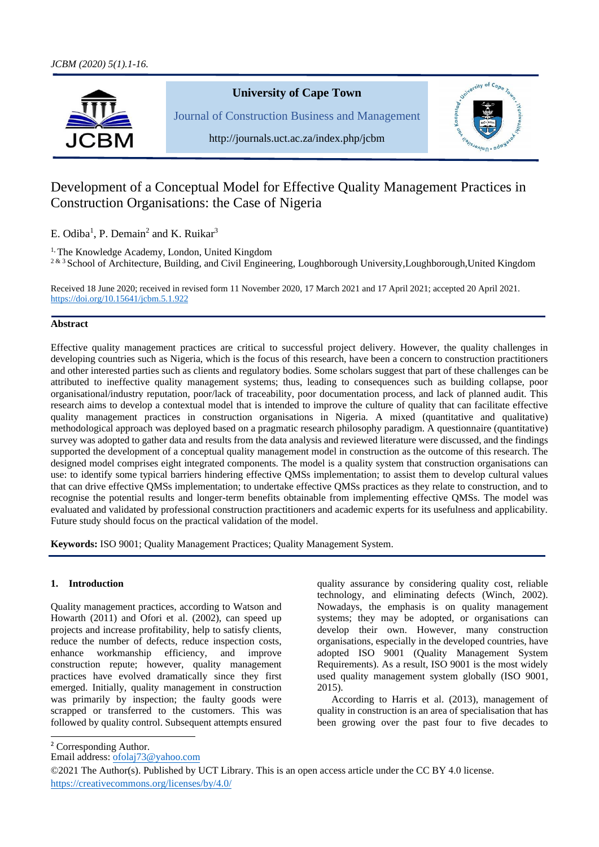

# **University of Cape Town**

Journal of Construction Business and Management



http://journals.uct.ac.za/index.php/jcbm

# Development of a Conceptual Model for Effective Quality Management Practices in Construction Organisations: the Case of Nigeria

E. Odiba<sup>1</sup>, P. Demain<sup>2</sup> and K. Ruikar<sup>3</sup>

<sup>1,</sup> The Knowledge Academy, London, United Kingdom

<sup>2 & 3</sup> School of Architecture, Building, and Civil Engineering, Loughborough University,Loughborough,United Kingdom

Received 18 June 2020; received in revised form 11 November 2020, 17 March 2021 and 17 April 2021; accepted 20 April 2021. [https://doi.org/10.15641/jcbm.5.1.9](https://doi.org/10.15641/jcbm.5.1.)22

# **Abstract**

Effective quality management practices are critical to successful project delivery. However, the quality challenges in developing countries such as Nigeria, which is the focus of this research, have been a concern to construction practitioners and other interested parties such as clients and regulatory bodies. Some scholars suggest that part of these challenges can be attributed to ineffective quality management systems; thus, leading to consequences such as building collapse, poor organisational/industry reputation, poor/lack of traceability, poor documentation process, and lack of planned audit. This research aims to develop a contextual model that is intended to improve the culture of quality that can facilitate effective quality management practices in construction organisations in Nigeria. A mixed (quantitative and qualitative) methodological approach was deployed based on a pragmatic research philosophy paradigm. A questionnaire (quantitative) survey was adopted to gather data and results from the data analysis and reviewed literature were discussed, and the findings supported the development of a conceptual quality management model in construction as the outcome of this research. The designed model comprises eight integrated components. The model is a quality system that construction organisations can use: to identify some typical barriers hindering effective QMSs implementation; to assist them to develop cultural values that can drive effective QMSs implementation; to undertake effective QMSs practices as they relate to construction, and to recognise the potential results and longer-term benefits obtainable from implementing effective QMSs. The model was evaluated and validated by professional construction practitioners and academic experts for its usefulness and applicability. Future study should focus on the practical validation of the model.

**Keywords:** ISO 9001; Quality Management Practices; Quality Management System.

# **1. Introduction**

Quality management practices, according to Watson and Howarth (2011) and Ofori et al. (2002), can speed up projects and increase profitability, help to satisfy clients, reduce the number of defects, reduce inspection costs, enhance workmanship efficiency, and improve construction repute; however, quality management practices have evolved dramatically since they first emerged. Initially, quality management in construction was primarily by inspection; the faulty goods were scrapped or transferred to the customers. This was followed by quality control. Subsequent attempts ensured quality assurance by considering quality cost, reliable technology, and eliminating defects (Winch, 2002). Nowadays, the emphasis is on quality management systems; they may be adopted, or organisations can develop their own. However, many construction organisations, especially in the developed countries, have adopted ISO 9001 (Quality Management System Requirements). As a result, ISO 9001 is the most widely used quality management system globally (ISO 9001, 2015).

According to Harris et al. (2013), management of quality in construction is an area of specialisation that has been growing over the past four to five decades to

<sup>2</sup> Corresponding Author.

Email address: [ofolaj73@yahoo.com](mailto:ofolaj73@yahoo.com)

<sup>©2021</sup> The Author(s). Published by UCT Library. This is an open access article under the CC BY 4.0 license. [https://creativecommons.org/licenses/by/4.0/](https://creativecommons.org/licenses/by-nc-sa/4.0/)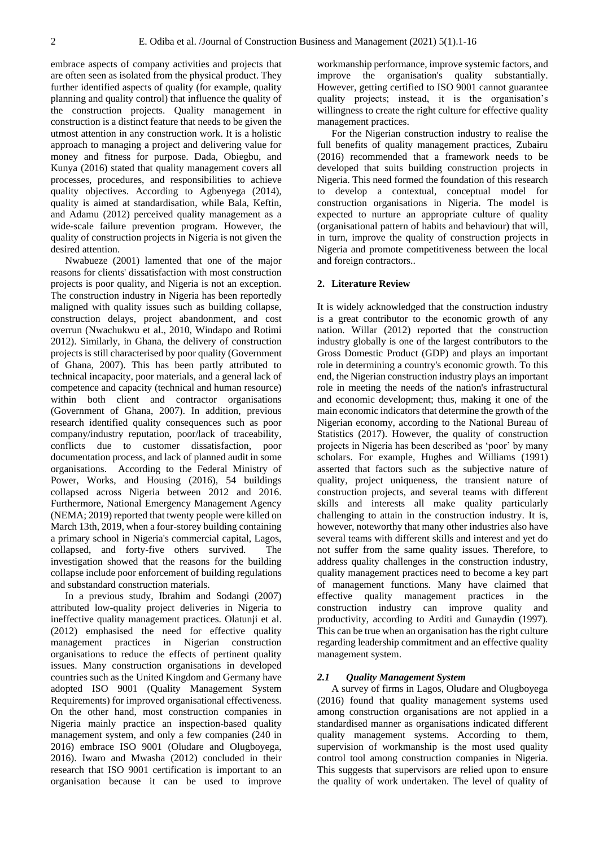embrace aspects of company activities and projects that are often seen as isolated from the physical product. They further identified aspects of quality (for example, quality planning and quality control) that influence the quality of the construction projects. Quality management in construction is a distinct feature that needs to be given the utmost attention in any construction work. It is a holistic approach to managing a project and delivering value for money and fitness for purpose. Dada, Obiegbu, and Kunya (2016) stated that quality management covers all processes, procedures, and responsibilities to achieve quality objectives. According to Agbenyega (2014), quality is aimed at standardisation, while Bala, Keftin, and Adamu (2012) perceived quality management as a wide-scale failure prevention program. However, the quality of construction projects in Nigeria is not given the desired attention.

Nwabueze (2001) lamented that one of the major reasons for clients' dissatisfaction with most construction projects is poor quality, and Nigeria is not an exception. The construction industry in Nigeria has been reportedly maligned with quality issues such as building collapse, construction delays, project abandonment, and cost overrun (Nwachukwu et al., 2010, Windapo and Rotimi 2012). Similarly, in Ghana, the delivery of construction projects is still characterised by poor quality (Government of Ghana, 2007). This has been partly attributed to technical incapacity, poor materials, and a general lack of competence and capacity (technical and human resource) within both client and contractor organisations (Government of Ghana, 2007). In addition, previous research identified quality consequences such as poor company/industry reputation, poor/lack of traceability, conflicts due to customer dissatisfaction, poor documentation process, and lack of planned audit in some organisations. According to the Federal Ministry of Power, Works, and Housing (2016), 54 buildings collapsed across Nigeria between 2012 and 2016. Furthermore, National Emergency Management Agency (NEMA; 2019) reported that twenty people were killed on March 13th, 2019, when a four-storey building containing a primary school in Nigeria's commercial capital, Lagos, collapsed, and forty-five others survived. The investigation showed that the reasons for the building collapse include poor enforcement of building regulations and substandard construction materials.

In a previous study, Ibrahim and Sodangi (2007) attributed low-quality project deliveries in Nigeria to ineffective quality management practices. Olatunji et al. (2012) emphasised the need for effective quality management practices in Nigerian construction organisations to reduce the effects of pertinent quality issues. Many construction organisations in developed countries such as the United Kingdom and Germany have adopted ISO 9001 (Quality Management System Requirements) for improved organisational effectiveness. On the other hand, most construction companies in Nigeria mainly practice an inspection-based quality management system, and only a few companies (240 in 2016) embrace ISO 9001 (Oludare and Olugboyega, 2016). Iwaro and Mwasha (2012) concluded in their research that ISO 9001 certification is important to an organisation because it can be used to improve workmanship performance, improve systemic factors, and improve the organisation's quality substantially. However, getting certified to ISO 9001 cannot guarantee quality projects; instead, it is the organisation's willingness to create the right culture for effective quality management practices.

For the Nigerian construction industry to realise the full benefits of quality management practices, Zubairu (2016) recommended that a framework needs to be developed that suits building construction projects in Nigeria. This need formed the foundation of this research to develop a contextual, conceptual model for construction organisations in Nigeria. The model is expected to nurture an appropriate culture of quality (organisational pattern of habits and behaviour) that will, in turn, improve the quality of construction projects in Nigeria and promote competitiveness between the local and foreign contractors..

#### **2. Literature Review**

It is widely acknowledged that the construction industry is a great contributor to the economic growth of any nation. Willar (2012) reported that the construction industry globally is one of the largest contributors to the Gross Domestic Product (GDP) and plays an important role in determining a country's economic growth. To this end, the Nigerian construction industry plays an important role in meeting the needs of the nation's infrastructural and economic development; thus, making it one of the main economic indicators that determine the growth of the Nigerian economy, according to the National Bureau of Statistics (2017). However, the quality of construction projects in Nigeria has been described as 'poor' by many scholars. For example, Hughes and Williams (1991) asserted that factors such as the subjective nature of quality, project uniqueness, the transient nature of construction projects, and several teams with different skills and interests all make quality particularly challenging to attain in the construction industry. It is, however, noteworthy that many other industries also have several teams with different skills and interest and yet do not suffer from the same quality issues. Therefore, to address quality challenges in the construction industry, quality management practices need to become a key part of management functions. Many have claimed that effective quality management practices in the construction industry can improve quality and productivity, according to Arditi and Gunaydin (1997). This can be true when an organisation has the right culture regarding leadership commitment and an effective quality management system.

### *2.1 Quality Management System*

A survey of firms in Lagos, Oludare and Olugboyega (2016) found that quality management systems used among construction organisations are not applied in a standardised manner as organisations indicated different quality management systems. According to them, supervision of workmanship is the most used quality control tool among construction companies in Nigeria. This suggests that supervisors are relied upon to ensure the quality of work undertaken. The level of quality of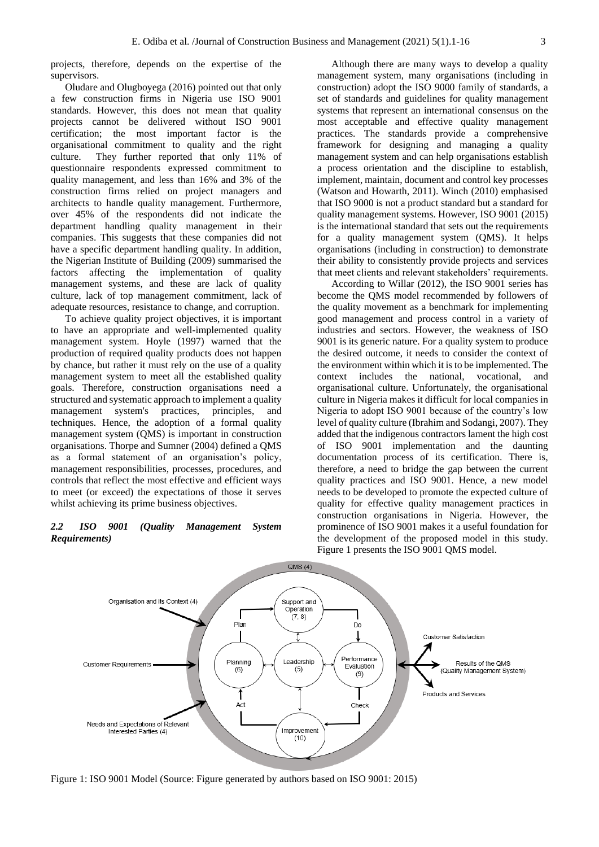projects, therefore, depends on the expertise of the supervisors.

Oludare and Olugboyega (2016) pointed out that only a few construction firms in Nigeria use ISO 9001 standards. However, this does not mean that quality projects cannot be delivered without ISO 9001 certification; the most important factor is the organisational commitment to quality and the right culture. They further reported that only 11% of questionnaire respondents expressed commitment to quality management, and less than 16% and 3% of the construction firms relied on project managers and architects to handle quality management. Furthermore, over 45% of the respondents did not indicate the department handling quality management in their companies. This suggests that these companies did not have a specific department handling quality. In addition, the Nigerian Institute of Building (2009) summarised the factors affecting the implementation of quality management systems, and these are lack of quality culture, lack of top management commitment, lack of adequate resources, resistance to change, and corruption.

To achieve quality project objectives, it is important to have an appropriate and well-implemented quality management system. Hoyle (1997) warned that the production of required quality products does not happen by chance, but rather it must rely on the use of a quality management system to meet all the established quality goals. Therefore, construction organisations need a structured and systematic approach to implement a quality management system's practices, principles, and techniques. Hence, the adoption of a formal quality management system (QMS) is important in construction organisations. Thorpe and Sumner (2004) defined a QMS as a formal statement of an organisation's policy, management responsibilities, processes, procedures, and controls that reflect the most effective and efficient ways to meet (or exceed) the expectations of those it serves whilst achieving its prime business objectives.

# *2.2 ISO 9001 (Quality Management System Requirements)*

Although there are many ways to develop a quality management system, many organisations (including in construction) adopt the ISO 9000 family of standards, a set of standards and guidelines for quality management systems that represent an international consensus on the most acceptable and effective quality management practices. The standards provide a comprehensive framework for designing and managing a quality management system and can help organisations establish a process orientation and the discipline to establish, implement, maintain, document and control key processes (Watson and Howarth, 2011). Winch (2010) emphasised that ISO 9000 is not a product standard but a standard for quality management systems. However, ISO 9001 (2015) is the international standard that sets out the requirements for a quality management system (QMS). It helps organisations (including in construction) to demonstrate their ability to consistently provide projects and services that meet clients and relevant stakeholders' requirements.

According to Willar (2012), the ISO 9001 series has become the QMS model recommended by followers of the quality movement as a benchmark for implementing good management and process control in a variety of industries and sectors. However, the weakness of ISO 9001 is its generic nature. For a quality system to produce the desired outcome, it needs to consider the context of the environment within which it is to be implemented. The context includes the national, vocational, and organisational culture. Unfortunately, the organisational culture in Nigeria makes it difficult for local companies in Nigeria to adopt ISO 9001 because of the country's low level of quality culture (Ibrahim and Sodangi, 2007). They added that the indigenous contractors lament the high cost of ISO 9001 implementation and the daunting documentation process of its certification. There is, therefore, a need to bridge the gap between the current quality practices and ISO 9001. Hence, a new model needs to be developed to promote the expected culture of quality for effective quality management practices in construction organisations in Nigeria. However, the prominence of ISO 9001 makes it a useful foundation for the development of the proposed model in this study. Figure 1 presents the ISO 9001 QMS model.



Figure 1: ISO 9001 Model (Source: Figure generated by authors based on ISO 9001: 2015)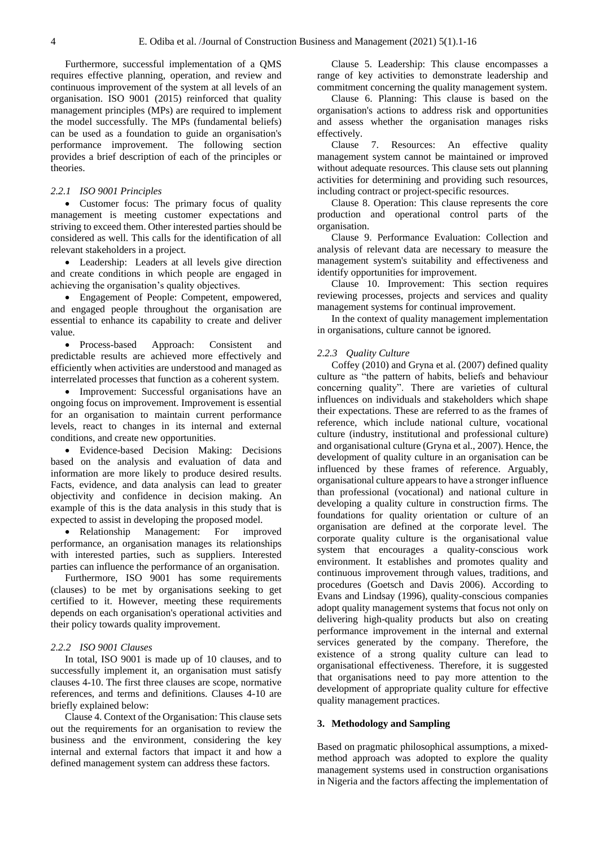Furthermore, successful implementation of a QMS requires effective planning, operation, and review and continuous improvement of the system at all levels of an organisation. ISO 9001 (2015) reinforced that quality management principles (MPs) are required to implement the model successfully. The MPs (fundamental beliefs) can be used as a foundation to guide an organisation's performance improvement. The following section provides a brief description of each of the principles or theories.

## *2.2.1 ISO 9001 Principles*

• Customer focus: The primary focus of quality management is meeting customer expectations and striving to exceed them. Other interested parties should be considered as well. This calls for the identification of all relevant stakeholders in a project.

• Leadership: Leaders at all levels give direction and create conditions in which people are engaged in achieving the organisation's quality objectives.

• Engagement of People: Competent, empowered, and engaged people throughout the organisation are essential to enhance its capability to create and deliver value.

• Process-based Approach: Consistent and predictable results are achieved more effectively and efficiently when activities are understood and managed as interrelated processes that function as a coherent system.

• Improvement: Successful organisations have an ongoing focus on improvement. Improvement is essential for an organisation to maintain current performance levels, react to changes in its internal and external conditions, and create new opportunities.

• Evidence-based Decision Making: Decisions based on the analysis and evaluation of data and information are more likely to produce desired results. Facts, evidence, and data analysis can lead to greater objectivity and confidence in decision making. An example of this is the data analysis in this study that is expected to assist in developing the proposed model.

• Relationship Management: For improved performance, an organisation manages its relationships with interested parties, such as suppliers. Interested parties can influence the performance of an organisation.

Furthermore, ISO 9001 has some requirements (clauses) to be met by organisations seeking to get certified to it. However, meeting these requirements depends on each organisation's operational activities and their policy towards quality improvement.

### *2.2.2 ISO 9001 Clauses*

In total, ISO 9001 is made up of 10 clauses, and to successfully implement it, an organisation must satisfy clauses 4-10. The first three clauses are scope, normative references, and terms and definitions. Clauses 4-10 are briefly explained below:

Clause 4. Context of the Organisation: This clause sets out the requirements for an organisation to review the business and the environment, considering the key internal and external factors that impact it and how a defined management system can address these factors.

Clause 5. Leadership: This clause encompasses a range of key activities to demonstrate leadership and commitment concerning the quality management system.

Clause 6. Planning: This clause is based on the organisation's actions to address risk and opportunities and assess whether the organisation manages risks effectively.

Clause 7. Resources: An effective quality management system cannot be maintained or improved without adequate resources. This clause sets out planning activities for determining and providing such resources, including contract or project-specific resources.

Clause 8. Operation: This clause represents the core production and operational control parts of the organisation.

Clause 9. Performance Evaluation: Collection and analysis of relevant data are necessary to measure the management system's suitability and effectiveness and identify opportunities for improvement.

Clause 10. Improvement: This section requires reviewing processes, projects and services and quality management systems for continual improvement.

In the context of quality management implementation in organisations, culture cannot be ignored.

#### *2.2.3 Quality Culture*

Coffey (2010) and Gryna et al. (2007) defined quality culture as "the pattern of habits, beliefs and behaviour concerning quality". There are varieties of cultural influences on individuals and stakeholders which shape their expectations. These are referred to as the frames of reference, which include national culture, vocational culture (industry, institutional and professional culture) and organisational culture (Gryna et al., 2007). Hence, the development of quality culture in an organisation can be influenced by these frames of reference. Arguably, organisational culture appears to have a stronger influence than professional (vocational) and national culture in developing a quality culture in construction firms. The foundations for quality orientation or culture of an organisation are defined at the corporate level. The corporate quality culture is the organisational value system that encourages a quality-conscious work environment. It establishes and promotes quality and continuous improvement through values, traditions, and procedures (Goetsch and Davis 2006). According to Evans and Lindsay (1996), quality-conscious companies adopt quality management systems that focus not only on delivering high-quality products but also on creating performance improvement in the internal and external services generated by the company. Therefore, the existence of a strong quality culture can lead to organisational effectiveness. Therefore, it is suggested that organisations need to pay more attention to the development of appropriate quality culture for effective quality management practices.

### **3. Methodology and Sampling**

Based on pragmatic philosophical assumptions, a mixedmethod approach was adopted to explore the quality management systems used in construction organisations in Nigeria and the factors affecting the implementation of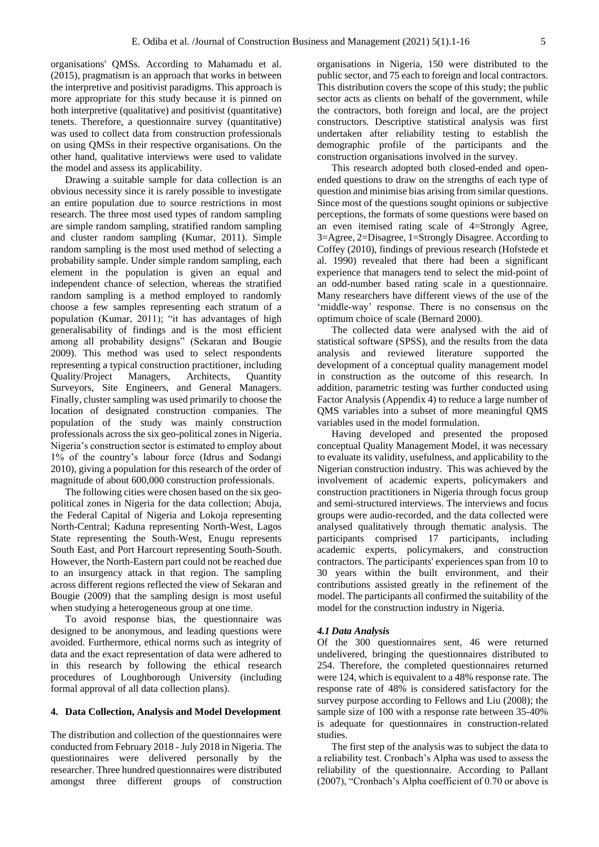organisations' QMSs. According to Mahamadu et al. (2015), pragmatism is an approach that works in between the interpretive and positivist paradigms. This approach is more appropriate for this study because it is pinned on both interpretive (qualitative) and positivist (quantitative) tenets. Therefore, a questionnaire survey (quantitative) was used to collect data from construction professionals on using QMSs in their respective organisations. On the other hand, qualitative interviews were used to validate the model and assess its applicability.

Drawing a suitable sample for data collection is an obvious necessity since it is rarely possible to investigate an entire population due to source restrictions in most research. The three most used types of random sampling are simple random sampling, stratified random sampling and cluster random sampling (Kumar, 2011). Simple random sampling is the most used method of selecting a probability sample. Under simple random sampling, each element in the population is given an equal and independent chance of selection, whereas the stratified random sampling is a method employed to randomly choose a few samples representing each stratum of a population (Kumar, 2011); "it has advantages of high generalisability of findings and is the most efficient among all probability designs" (Sekaran and Bougie 2009). This method was used to select respondents representing a typical construction practitioner, including Quality/Project Managers, Architects, Quantity Surveyors, Site Engineers, and General Managers. Finally, cluster sampling was used primarily to choose the location of designated construction companies. The population of the study was mainly construction professionals across the six geo-political zones in Nigeria. Nigeria's construction sector is estimated to employ about 1% of the country's labour force (Idrus and Sodangi 2010), giving a population for this research of the order of magnitude of about 600,000 construction professionals.

The following cities were chosen based on the six geopolitical zones in Nigeria for the data collection; Abuja, the Federal Capital of Nigeria and Lokoja representing North-Central; Kaduna representing North-West, Lagos State representing the South-West, Enugu represents South East, and Port Harcourt representing South-South. However, the North-Eastern part could not be reached due to an insurgency attack in that region. The sampling across different regions reflected the view of Sekaran and Bougie (2009) that the sampling design is most useful when studying a heterogeneous group at one time.

To avoid response bias, the questionnaire was designed to be anonymous, and leading questions were avoided. Furthermore, ethical norms such as integrity of data and the exact representation of data were adhered to in this research by following the ethical research procedures of Loughborough University (including formal approval of all data collection plans).

### **4. Data Collection, Analysis and Model Development**

The distribution and collection of the questionnaires were conducted from February 2018 - July 2018 in Nigeria. The questionnaires were delivered personally by the researcher. Three hundred questionnaires were distributed amongst three different groups of construction

organisations in Nigeria, 150 were distributed to the public sector, and 75 each to foreign and local contractors. This distribution covers the scope of this study; the public sector acts as clients on behalf of the government, while the contractors, both foreign and local, are the project constructors. Descriptive statistical analysis was first undertaken after reliability testing to establish the demographic profile of the participants and the construction organisations involved in the survey.

This research adopted both closed-ended and openended questions to draw on the strengths of each type of question and minimise bias arising from similar questions. Since most of the questions sought opinions or subjective perceptions, the formats of some questions were based on an even itemised rating scale of 4=Strongly Agree, 3=Agree, 2=Disagree, 1=Strongly Disagree. According to Coffey (2010), findings of previous research (Hofstede et al. 1990) revealed that there had been a significant experience that managers tend to select the mid-point of an odd-number based rating scale in a questionnaire. Many researchers have different views of the use of the 'middle-way' response. There is no consensus on the optimum choice of scale (Bernard 2000).

The collected data were analysed with the aid of statistical software (SPSS), and the results from the data analysis and reviewed literature supported the development of a conceptual quality management model in construction as the outcome of this research. In addition, parametric testing was further conducted using Factor Analysis (Appendix 4) to reduce a large number of QMS variables into a subset of more meaningful QMS variables used in the model formulation.

Having developed and presented the proposed conceptual Quality Management Model, it was necessary to evaluate its validity, usefulness, and applicability to the Nigerian construction industry. This was achieved by the involvement of academic experts, policymakers and construction practitioners in Nigeria through focus group and semi-structured interviews. The interviews and focus groups were audio-recorded, and the data collected were analysed qualitatively through thematic analysis. The participants comprised 17 participants, including academic experts, policymakers, and construction contractors. The participants' experiences span from 10 to 30 years within the built environment, and their contributions assisted greatly in the refinement of the model. The participants all confirmed the suitability of the model for the construction industry in Nigeria.

## *4.1 Data Analysis*

Of the 300 questionnaires sent, 46 were returned undelivered, bringing the questionnaires distributed to 254. Therefore, the completed questionnaires returned were 124, which is equivalent to a 48% response rate. The response rate of 48% is considered satisfactory for the survey purpose according to Fellows and Liu (2008); the sample size of 100 with a response rate between 35-40% is adequate for questionnaires in construction-related studies.

The first step of the analysis was to subject the data to a reliability test. Cronbach's Alpha was used to assess the reliability of the questionnaire. According to Pallant (2007), "Cronbach's Alpha coefficient of 0.70 or above is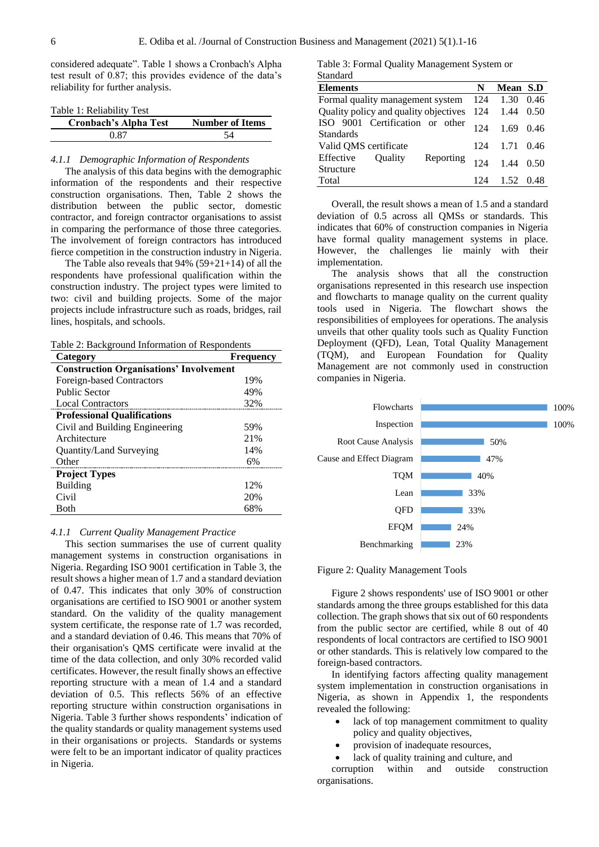considered adequate". Table 1 shows a Cronbach's Alpha test result of 0.87; this provides evidence of the data's reliability for further analysis.

|  |  | Table 1: Reliability Test |  |  |
|--|--|---------------------------|--|--|
|--|--|---------------------------|--|--|

| <b>Cronbach's Alpha Test</b> | <b>Number of Items</b> |
|------------------------------|------------------------|
| 0.87                         |                        |

# *4.1.1 Demographic Information of Respondents*

The analysis of this data begins with the demographic information of the respondents and their respective construction organisations. Then, Table 2 shows the distribution between the public sector, domestic contractor, and foreign contractor organisations to assist in comparing the performance of those three categories. The involvement of foreign contractors has introduced fierce competition in the construction industry in Nigeria.

The Table also reveals that 94% (59+21+14) of all the respondents have professional qualification within the construction industry. The project types were limited to two: civil and building projects. Some of the major projects include infrastructure such as roads, bridges, rail lines, hospitals, and schools.

Table 2: Background Information of Respondents

| Category                                       | <b>Frequency</b> |
|------------------------------------------------|------------------|
| <b>Construction Organisations' Involvement</b> |                  |
| Foreign-based Contractors                      | 19%              |
| Public Sector                                  | 49%              |
| <b>Local Contractors</b>                       | 32%              |
| <b>Professional Qualifications</b>             |                  |
| Civil and Building Engineering                 | 59%              |
| Architecture                                   | 21%              |
| Quantity/Land Surveying                        | 14%              |
| Other                                          | 6%               |
| <b>Project Types</b>                           |                  |
| Building                                       | 12%              |
| Civil                                          | 20%              |
| Both                                           | 68%              |

#### *4.1.1 Current Quality Management Practice*

This section summarises the use of current quality management systems in construction organisations in Nigeria. Regarding ISO 9001 certification in Table 3, the result shows a higher mean of 1.7 and a standard deviation of 0.47. This indicates that only 30% of construction organisations are certified to ISO 9001 or another system standard. On the validity of the quality management system certificate, the response rate of 1.7 was recorded, and a standard deviation of 0.46. This means that 70% of their organisation's QMS certificate were invalid at the time of the data collection, and only 30% recorded valid certificates. However, the result finally shows an effective reporting structure with a mean of 1.4 and a standard deviation of 0.5. This reflects 56% of an effective reporting structure within construction organisations in Nigeria. Table 3 further shows respondents' indication of the quality standards or quality management systems used in their organisations or projects. Standards or systems were felt to be an important indicator of quality practices in Nigeria.

Table 3: Formal Quality Management System or Standard

| <b>Elements</b>                                       | N   | Mean S.D |      |
|-------------------------------------------------------|-----|----------|------|
| Formal quality management system                      | 124 | 1.30     | 0.46 |
| Quality policy and quality objectives                 | 124 | 1.44     | 0.50 |
| ISO 9001 Certification or other<br><b>Standards</b>   | 124 | 1.69     | 0.46 |
| Valid QMS certificate                                 | 124 | 1.71     | 0.46 |
| Effective<br>Reporting<br><b>Ouality</b><br>Structure | 124 | 144      | 0.50 |
| Total                                                 | 124 | 1.52     | 0.48 |

Overall, the result shows a mean of 1.5 and a standard deviation of 0.5 across all QMSs or standards. This indicates that 60% of construction companies in Nigeria have formal quality management systems in place. However, the challenges lie mainly with their implementation.

The analysis shows that all the construction organisations represented in this research use inspection and flowcharts to manage quality on the current quality tools used in Nigeria. The flowchart shows the responsibilities of employees for operations. The analysis unveils that other quality tools such as Quality Function Deployment (QFD), Lean, Total Quality Management (TQM), and European Foundation for Quality Management are not commonly used in construction companies in Nigeria.



Figure 2: Quality Management Tools

Figure 2 shows respondents' use of ISO 9001 or other standards among the three groups established for this data collection. The graph shows that six out of 60 respondents from the public sector are certified, while 8 out of 40 respondents of local contractors are certified to ISO 9001 or other standards. This is relatively low compared to the foreign-based contractors.

In identifying factors affecting quality management system implementation in construction organisations in Nigeria, as shown in Appendix 1, the respondents revealed the following:

- lack of top management commitment to quality policy and quality objectives,
- provision of inadequate resources,

organisations.

lack of quality training and culture, and corruption within and outside construction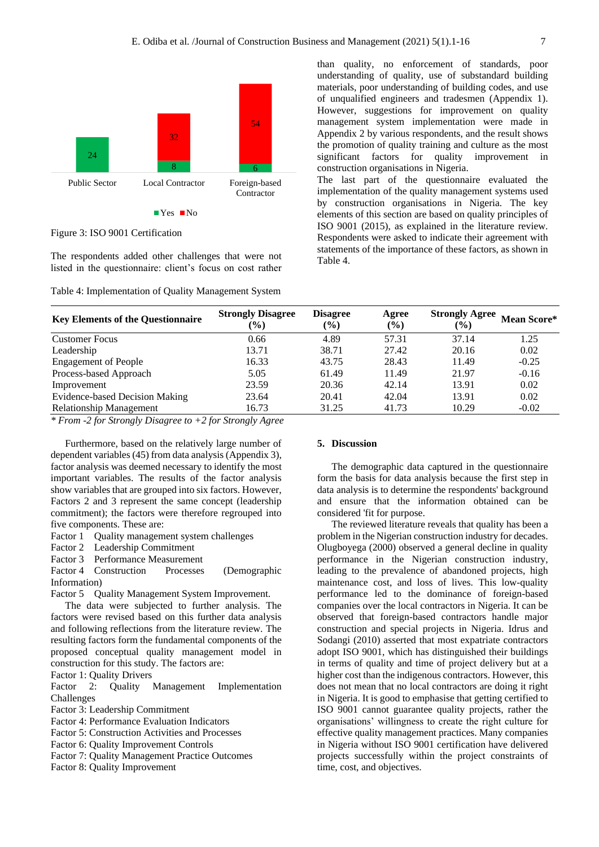

Figure 3: ISO 9001 Certification

The respondents added other challenges that were not listed in the questionnaire: client's focus on cost rather

Table 4: Implementation of Quality Management System

than quality, no enforcement of standards, poor understanding of quality, use of substandard building materials, poor understanding of building codes, and use of unqualified engineers and tradesmen (Appendix 1). However, suggestions for improvement on quality management system implementation were made in Appendix 2 by various respondents, and the result shows the promotion of quality training and culture as the most significant factors for quality improvement in construction organisations in Nigeria.

The last part of the questionnaire evaluated the implementation of the quality management systems used by construction organisations in Nigeria. The key elements of this section are based on quality principles of ISO 9001 (2015), as explained in the literature review. Respondents were asked to indicate their agreement with statements of the importance of these factors, as shown in Table 4.

| <b>Key Elements of the Questionnaire</b> | <b>Strongly Disagree</b><br>$\mathcal{O}(6)$ | <b>Disagree</b><br>$\frac{6}{6}$ | Agree<br>$\frac{6}{6}$ | <b>Strongly Agree</b><br>$($ %) | Mean Score* |
|------------------------------------------|----------------------------------------------|----------------------------------|------------------------|---------------------------------|-------------|
| <b>Customer Focus</b>                    | 0.66                                         | 4.89                             | 57.31                  | 37.14                           | 1.25        |
| Leadership                               | 13.71                                        | 38.71                            | 27.42                  | 20.16                           | 0.02        |
| <b>Engagement of People</b>              | 16.33                                        | 43.75                            | 28.43                  | 11.49                           | $-0.25$     |
| Process-based Approach                   | 5.05                                         | 61.49                            | 11.49                  | 21.97                           | $-0.16$     |
| Improvement                              | 23.59                                        | 20.36                            | 42.14                  | 13.91                           | 0.02        |
| <b>Evidence-based Decision Making</b>    | 23.64                                        | 20.41                            | 42.04                  | 13.91                           | 0.02        |
| <b>Relationship Management</b>           | 16.73                                        | 31.25                            | 41.73                  | 10.29                           | $-0.02$     |
|                                          |                                              |                                  |                        |                                 |             |

*\* From -2 for Strongly Disagree to +2 for Strongly Agree*

Furthermore, based on the relatively large number of dependent variables (45) from data analysis (Appendix 3), factor analysis was deemed necessary to identify the most important variables. The results of the factor analysis show variables that are grouped into six factors. However, Factors 2 and 3 represent the same concept (leadership commitment); the factors were therefore regrouped into five components. These are:

Factor 1 Ouality management system challenges

Factor 2 Leadership Commitment

Factor 3 Performance Measurement

Factor 4 Construction Processes (Demographic Information)

Factor 5 Quality Management System Improvement.

The data were subjected to further analysis. The factors were revised based on this further data analysis and following reflections from the literature review. The resulting factors form the fundamental components of the proposed conceptual quality management model in construction for this study. The factors are:

Factor 1: Quality Drivers

Factor 2: Quality Management Implementation Challenges

Factor 3: Leadership Commitment

Factor 4: Performance Evaluation Indicators

Factor 5: Construction Activities and Processes

Factor 6: Quality Improvement Controls

Factor 7: Quality Management Practice Outcomes

Factor 8: Quality Improvement

# **5. Discussion**

The demographic data captured in the questionnaire form the basis for data analysis because the first step in data analysis is to determine the respondents' background and ensure that the information obtained can be considered 'fit for purpose.

The reviewed literature reveals that quality has been a problem in the Nigerian construction industry for decades. Olugboyega (2000) observed a general decline in quality performance in the Nigerian construction industry, leading to the prevalence of abandoned projects, high maintenance cost, and loss of lives. This low-quality performance led to the dominance of foreign-based companies over the local contractors in Nigeria. It can be observed that foreign-based contractors handle major construction and special projects in Nigeria. Idrus and Sodangi (2010) asserted that most expatriate contractors adopt ISO 9001, which has distinguished their buildings in terms of quality and time of project delivery but at a higher cost than the indigenous contractors. However, this does not mean that no local contractors are doing it right in Nigeria. It is good to emphasise that getting certified to ISO 9001 cannot guarantee quality projects, rather the organisations' willingness to create the right culture for effective quality management practices. Many companies in Nigeria without ISO 9001 certification have delivered projects successfully within the project constraints of time, cost, and objectives.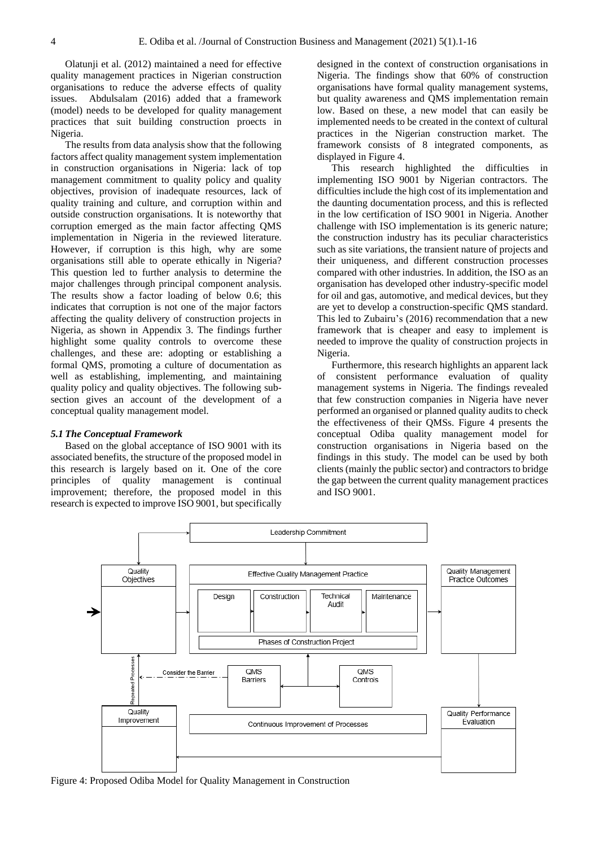Olatunji et al. (2012) maintained a need for effective quality management practices in Nigerian construction organisations to reduce the adverse effects of quality issues. Abdulsalam (2016) added that a framework (model) needs to be developed for quality management practices that suit building construction proects in Nigeria.

The results from data analysis show that the following factors affect quality management system implementation in construction organisations in Nigeria: lack of top management commitment to quality policy and quality objectives, provision of inadequate resources, lack of quality training and culture, and corruption within and outside construction organisations. It is noteworthy that corruption emerged as the main factor affecting QMS implementation in Nigeria in the reviewed literature. However, if corruption is this high, why are some organisations still able to operate ethically in Nigeria? This question led to further analysis to determine the major challenges through principal component analysis. The results show a factor loading of below 0.6; this indicates that corruption is not one of the major factors affecting the quality delivery of construction projects in Nigeria, as shown in Appendix 3. The findings further highlight some quality controls to overcome these challenges, and these are: adopting or establishing a formal QMS, promoting a culture of documentation as well as establishing, implementing, and maintaining quality policy and quality objectives. The following subsection gives an account of the development of a conceptual quality management model.

### *5.1 The Conceptual Framework*

Based on the global acceptance of ISO 9001 with its associated benefits, the structure of the proposed model in this research is largely based on it. One of the core principles of quality management is continual improvement; therefore, the proposed model in this research is expected to improve ISO 9001, but specifically

designed in the context of construction organisations in Nigeria. The findings show that 60% of construction organisations have formal quality management systems, but quality awareness and QMS implementation remain low. Based on these, a new model that can easily be implemented needs to be created in the context of cultural practices in the Nigerian construction market. The framework consists of 8 integrated components, as displayed in Figure 4.

This research highlighted the difficulties in implementing ISO 9001 by Nigerian contractors. The difficulties include the high cost of its implementation and the daunting documentation process, and this is reflected in the low certification of ISO 9001 in Nigeria. Another challenge with ISO implementation is its generic nature; the construction industry has its peculiar characteristics such as site variations, the transient nature of projects and their uniqueness, and different construction processes compared with other industries. In addition, the ISO as an organisation has developed other industry-specific model for oil and gas, automotive, and medical devices, but they are yet to develop a construction-specific QMS standard. This led to Zubairu's (2016) recommendation that a new framework that is cheaper and easy to implement is needed to improve the quality of construction projects in Nigeria.

Furthermore, this research highlights an apparent lack of consistent performance evaluation of quality management systems in Nigeria. The findings revealed that few construction companies in Nigeria have never performed an organised or planned quality audits to check the effectiveness of their QMSs. Figure 4 presents the conceptual Odiba quality management model for construction organisations in Nigeria based on the findings in this study. The model can be used by both clients (mainly the public sector) and contractors to bridge the gap between the current quality management practices and ISO 9001.



Figure 4: Proposed Odiba Model for Quality Management in Construction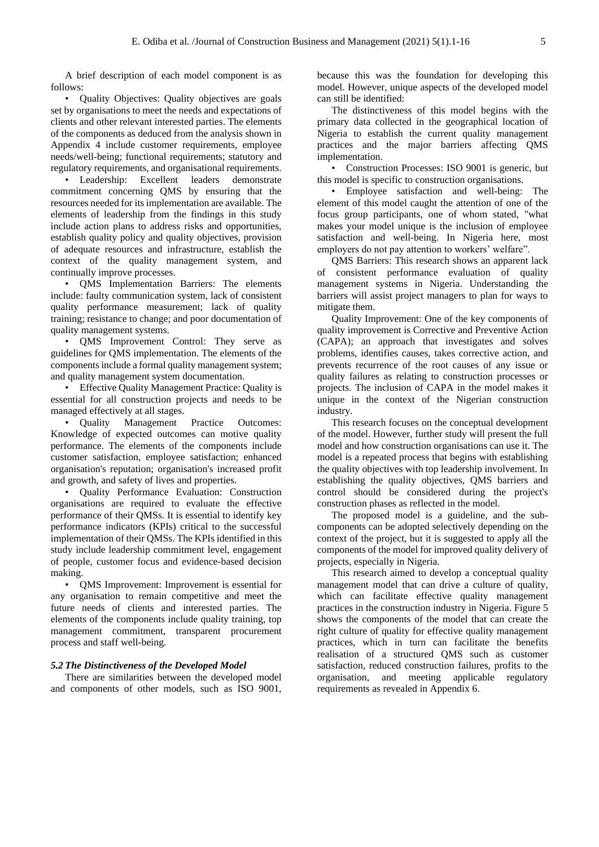A brief description of each model component is as follows:

• Quality Objectives: Quality objectives are goals set by organisations to meet the needs and expectations of clients and other relevant interested parties. The elements of the components as deduced from the analysis shown in Appendix 4 include customer requirements, employee needs/well-being; functional requirements; statutory and regulatory requirements, and organisational requirements.

• Leadership: Excellent leaders demonstrate commitment concerning QMS by ensuring that the resources needed for its implementation are available. The elements of leadership from the findings in this study include action plans to address risks and opportunities, establish quality policy and quality objectives, provision of adequate resources and infrastructure, establish the context of the quality management system, and continually improve processes.

• QMS Implementation Barriers: The elements include: faulty communication system, lack of consistent quality performance measurement; lack of quality training; resistance to change; and poor documentation of quality management systems.

• QMS Improvement Control: They serve as guidelines for QMS implementation. The elements of the components include a formal quality management system; and quality management system documentation.

• Effective Quality Management Practice: Quality is essential for all construction projects and needs to be managed effectively at all stages.

• Quality Management Practice Outcomes: Knowledge of expected outcomes can motive quality performance. The elements of the components include customer satisfaction, employee satisfaction; enhanced organisation's reputation; organisation's increased profit and growth, and safety of lives and properties.

• Quality Performance Evaluation: Construction organisations are required to evaluate the effective performance of their QMSs. It is essential to identify key performance indicators (KPIs) critical to the successful implementation of their QMSs. The KPIs identified in this study include leadership commitment level, engagement of people, customer focus and evidence-based decision making.

• QMS Improvement: Improvement is essential for any organisation to remain competitive and meet the future needs of clients and interested parties. The elements of the components include quality training, top management commitment, transparent procurement process and staff well-being.

### *5.2 The Distinctiveness of the Developed Model*

There are similarities between the developed model and components of other models, such as ISO 9001, because this was the foundation for developing this model. However, unique aspects of the developed model can still be identified:

The distinctiveness of this model begins with the primary data collected in the geographical location of Nigeria to establish the current quality management practices and the major barriers affecting QMS implementation.

• Construction Processes: ISO 9001 is generic, but this model is specific to construction organisations.

• Employee satisfaction and well-being: The element of this model caught the attention of one of the focus group participants, one of whom stated, "what makes your model unique is the inclusion of employee satisfaction and well-being. In Nigeria here, most employers do not pay attention to workers' welfare".

QMS Barriers: This research shows an apparent lack of consistent performance evaluation of quality management systems in Nigeria. Understanding the barriers will assist project managers to plan for ways to mitigate them.

Quality Improvement: One of the key components of quality improvement is Corrective and Preventive Action (CAPA); an approach that investigates and solves problems, identifies causes, takes corrective action, and prevents recurrence of the root causes of any issue or quality failures as relating to construction processes or projects. The inclusion of CAPA in the model makes it unique in the context of the Nigerian construction industry.

This research focuses on the conceptual development of the model. However, further study will present the full model and how construction organisations can use it. The model is a repeated process that begins with establishing the quality objectives with top leadership involvement. In establishing the quality objectives, QMS barriers and control should be considered during the project's construction phases as reflected in the model.

The proposed model is a guideline, and the subcomponents can be adopted selectively depending on the context of the project, but it is suggested to apply all the components of the model for improved quality delivery of projects, especially in Nigeria.

This research aimed to develop a conceptual quality management model that can drive a culture of quality, which can facilitate effective quality management practices in the construction industry in Nigeria. Figure 5 shows the components of the model that can create the right culture of quality for effective quality management practices, which in turn can facilitate the benefits realisation of a structured QMS such as customer satisfaction, reduced construction failures, profits to the organisation, and meeting applicable regulatory requirements as revealed in Appendix 6.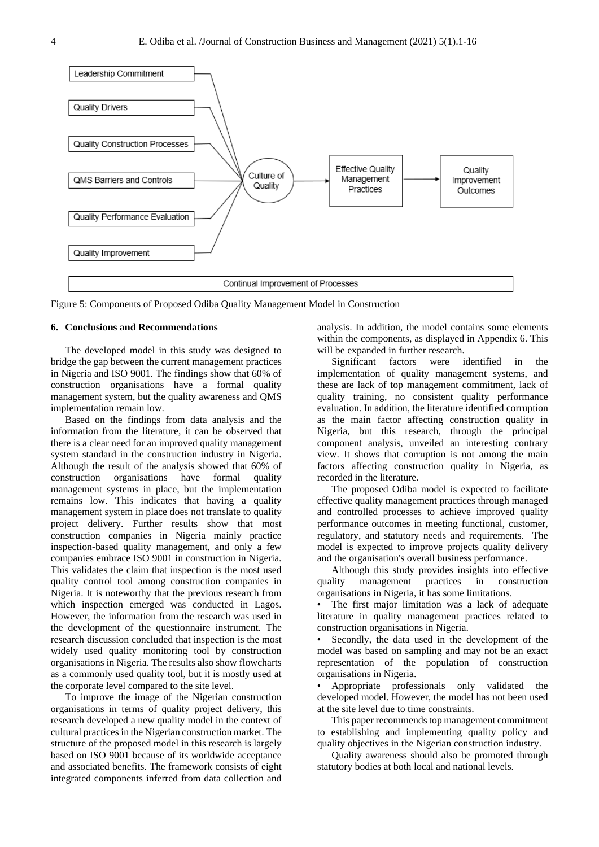

Figure 5: Components of Proposed Odiba Quality Management Model in Construction

### **6. Conclusions and Recommendations**

The developed model in this study was designed to bridge the gap between the current management practices in Nigeria and ISO 9001. The findings show that 60% of construction organisations have a formal quality management system, but the quality awareness and QMS implementation remain low.

Based on the findings from data analysis and the information from the literature, it can be observed that there is a clear need for an improved quality management system standard in the construction industry in Nigeria. Although the result of the analysis showed that 60% of construction organisations have formal quality management systems in place, but the implementation remains low. This indicates that having a quality management system in place does not translate to quality project delivery. Further results show that most construction companies in Nigeria mainly practice inspection-based quality management, and only a few companies embrace ISO 9001 in construction in Nigeria. This validates the claim that inspection is the most used quality control tool among construction companies in Nigeria. It is noteworthy that the previous research from which inspection emerged was conducted in Lagos. However, the information from the research was used in the development of the questionnaire instrument. The research discussion concluded that inspection is the most widely used quality monitoring tool by construction organisations in Nigeria. The results also show flowcharts as a commonly used quality tool, but it is mostly used at the corporate level compared to the site level.

To improve the image of the Nigerian construction organisations in terms of quality project delivery, this research developed a new quality model in the context of cultural practices in the Nigerian construction market. The structure of the proposed model in this research is largely based on ISO 9001 because of its worldwide acceptance and associated benefits. The framework consists of eight integrated components inferred from data collection and

analysis. In addition, the model contains some elements within the components, as displayed in Appendix 6. This will be expanded in further research.

Significant factors were identified in the implementation of quality management systems, and these are lack of top management commitment, lack of quality training, no consistent quality performance evaluation. In addition, the literature identified corruption as the main factor affecting construction quality in Nigeria, but this research, through the principal component analysis, unveiled an interesting contrary view. It shows that corruption is not among the main factors affecting construction quality in Nigeria, as recorded in the literature.

The proposed Odiba model is expected to facilitate effective quality management practices through managed and controlled processes to achieve improved quality performance outcomes in meeting functional, customer, regulatory, and statutory needs and requirements. The model is expected to improve projects quality delivery and the organisation's overall business performance.

Although this study provides insights into effective quality management practices in construction organisations in Nigeria, it has some limitations.

The first major limitation was a lack of adequate literature in quality management practices related to construction organisations in Nigeria.

Secondly, the data used in the development of the model was based on sampling and may not be an exact representation of the population of construction organisations in Nigeria.

• Appropriate professionals only validated the developed model. However, the model has not been used at the site level due to time constraints.

This paper recommends top management commitment to establishing and implementing quality policy and quality objectives in the Nigerian construction industry.

Quality awareness should also be promoted through statutory bodies at both local and national levels.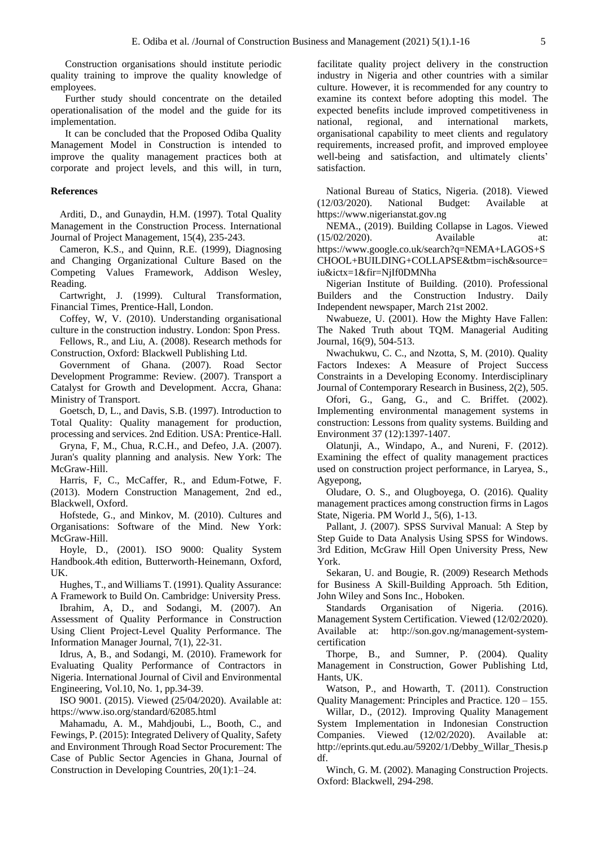Construction organisations should institute periodic quality training to improve the quality knowledge of employees.

Further study should concentrate on the detailed operationalisation of the model and the guide for its implementation.

It can be concluded that the Proposed Odiba Quality Management Model in Construction is intended to improve the quality management practices both at corporate and project levels, and this will, in turn,

#### **References**

Arditi, D., and Gunaydin, H.M. (1997). Total Quality Management in the Construction Process. International Journal of Project Management, 15(4), 235-243.

Cameron, K.S., and Quinn, R.E. (1999), Diagnosing and Changing Organizational Culture Based on the Competing Values Framework, Addison Wesley, Reading.

Cartwright, J. (1999). Cultural Transformation, Financial Times, Prentice-Hall, London.

Coffey, W, V. (2010). Understanding organisational culture in the construction industry. London: Spon Press.

Fellows, R., and Liu, A. (2008). Research methods for Construction, Oxford: Blackwell Publishing Ltd.

Government of Ghana. (2007). Road Sector Development Programme: Review. (2007). Transport a Catalyst for Growth and Development. Accra, Ghana: Ministry of Transport.

Goetsch, D, L., and Davis, S.B. (1997). Introduction to Total Quality: Quality management for production, processing and services. 2nd Edition. USA: Prentice-Hall.

Gryna, F, M., Chua, R.C.H., and Defeo, J.A. (2007). Juran's quality planning and analysis. New York: The McGraw-Hill.

Harris, F, C., McCaffer, R., and Edum-Fotwe, F. (2013). Modern Construction Management, 2nd ed., Blackwell, Oxford.

Hofstede, G., and Minkov, M. (2010). Cultures and Organisations: Software of the Mind. New York: McGraw-Hill.

Hoyle, D., (2001). ISO 9000: Quality System Handbook.4th edition, Butterworth-Heinemann, Oxford, UK.

Hughes, T., and Williams T. (1991). Quality Assurance: A Framework to Build On. Cambridge: University Press.

Ibrahim, A, D., and Sodangi, M. (2007). An Assessment of Quality Performance in Construction Using Client Project-Level Quality Performance. The Information Manager Journal, 7(1), 22-31.

Idrus, A, B., and Sodangi, M. (2010). Framework for Evaluating Quality Performance of Contractors in Nigeria. International Journal of Civil and Environmental Engineering, Vol.10, No. 1, pp.34-39.

ISO 9001. (2015). Viewed (25/04/2020). Available at: https://www.iso.org/standard/62085.html

Mahamadu, A. M., Mahdjoubi, L., Booth, C., and Fewings, P. (2015): Integrated Delivery of Quality, Safety and Environment Through Road Sector Procurement: The Case of Public Sector Agencies in Ghana, Journal of Construction in Developing Countries, 20(1):1–24.

facilitate quality project delivery in the construction industry in Nigeria and other countries with a similar culture. However, it is recommended for any country to examine its context before adopting this model. The expected benefits include improved competitiveness in national, regional, and international markets, organisational capability to meet clients and regulatory requirements, increased profit, and improved employee well-being and satisfaction, and ultimately clients' satisfaction.

National Bureau of Statics, Nigeria. (2018). Viewed (12/03/2020). National Budget: Available at https://www.nigerianstat.gov.ng

NEMA., (2019). Building Collapse in Lagos. Viewed (15/02/2020). Available at: https://www.google.co.uk/search?q=NEMA+LAGOS+S CHOOL+BUILDING+COLLAPSE&tbm=isch&source= iu&ictx=1&fir=NjIf0DMNha

Nigerian Institute of Building. (2010). Professional Builders and the Construction Industry. Daily Independent newspaper, March 21st 2002.

Nwabueze, U. (2001). How the Mighty Have Fallen: The Naked Truth about TQM. Managerial Auditing Journal, 16(9), 504-513.

Nwachukwu, C. C., and Nzotta, S, M. (2010). Quality Factors Indexes: A Measure of Project Success Constraints in a Developing Economy. Interdisciplinary Journal of Contemporary Research in Business, 2(2), 505.

Ofori, G., Gang, G., and C. Briffet. (2002). Implementing environmental management systems in construction: Lessons from quality systems. Building and Environment 37 (12):1397-1407.

Olatunji, A., Windapo, A., and Nureni, F. (2012). Examining the effect of quality management practices used on construction project performance, in Laryea, S., Agyepong,

Oludare, O. S., and Olugboyega, O. (2016). Quality management practices among construction firms in Lagos State, Nigeria. PM World J., 5(6), 1-13.

Pallant, J. (2007). SPSS Survival Manual: A Step by Step Guide to Data Analysis Using SPSS for Windows. 3rd Edition, McGraw Hill Open University Press, New York.

Sekaran, U. and Bougie, R. (2009) Research Methods for Business A Skill-Building Approach. 5th Edition, John Wiley and Sons Inc., Hoboken.

Standards Organisation of Nigeria. (2016). Management System Certification. Viewed (12/02/2020). Available at: http://son.gov.ng/management-systemcertification

Thorpe, B., and Sumner, P. (2004). Quality Management in Construction, Gower Publishing Ltd, Hants, UK.

Watson, P., and Howarth, T. (2011). Construction Quality Management: Principles and Practice. 120 – 155.

Willar, D., (2012). Improving Quality Management System Implementation in Indonesian Construction Companies. Viewed (12/02/2020). Available at: http://eprints.qut.edu.au/59202/1/Debby\_Willar\_Thesis.p df.

Winch, G. M. (2002). Managing Construction Projects. Oxford: Blackwell, 294-298.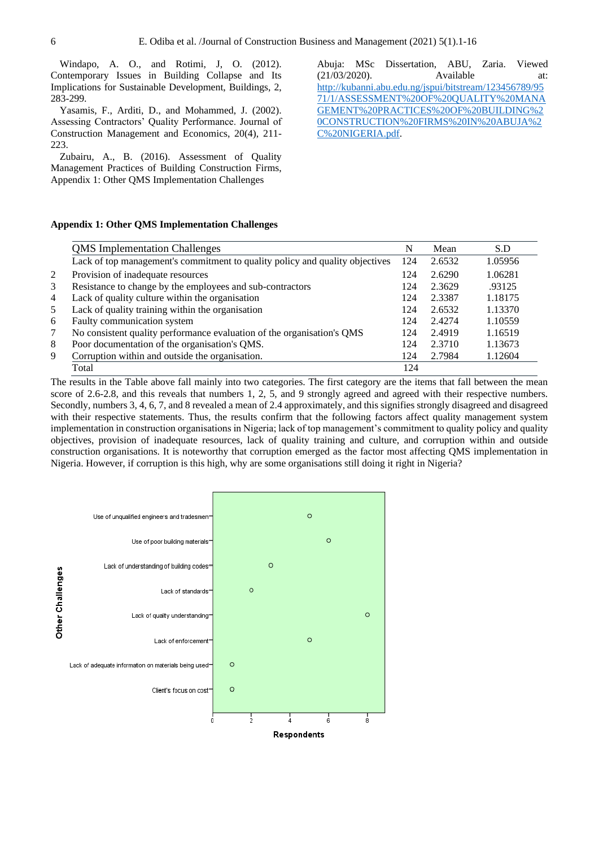Windapo, A. O., and Rotimi, J, O. (2012). Contemporary Issues in Building Collapse and Its Implications for Sustainable Development, Buildings, 2, 283-299.

Yasamis, F., Arditi, D., and Mohammed, J. (2002). Assessing Contractors' Quality Performance. Journal of Construction Management and Economics, 20(4), 211- 223.

Zubairu, A., B. (2016). Assessment of Quality Management Practices of Building Construction Firms, Appendix 1: Other QMS Implementation Challenges

Abuja: MSc Dissertation, ABU, Zaria. Viewed (21/03/2020). Available at: [http://kubanni.abu.edu.ng/jspui/bitstream/123456789/95](http://kubanni.abu.edu.ng/jspui/bitstream/123456789/9571/1/ASSESSMENT%20OF%20QUALITY%20MANAGEMENT%20PRACTICES%20OF%20BUILDING%20CONSTRUCTION%20FIRMS%20IN%20ABUJA%2C%20NIGERIA.pdf) [71/1/ASSESSMENT%20OF%20QUALITY%20MANA](http://kubanni.abu.edu.ng/jspui/bitstream/123456789/9571/1/ASSESSMENT%20OF%20QUALITY%20MANAGEMENT%20PRACTICES%20OF%20BUILDING%20CONSTRUCTION%20FIRMS%20IN%20ABUJA%2C%20NIGERIA.pdf) [GEMENT%20PRACTICES%20OF%20BUILDING%2](http://kubanni.abu.edu.ng/jspui/bitstream/123456789/9571/1/ASSESSMENT%20OF%20QUALITY%20MANAGEMENT%20PRACTICES%20OF%20BUILDING%20CONSTRUCTION%20FIRMS%20IN%20ABUJA%2C%20NIGERIA.pdf) [0CONSTRUCTION%20FIRMS%20IN%20ABUJA%2](http://kubanni.abu.edu.ng/jspui/bitstream/123456789/9571/1/ASSESSMENT%20OF%20QUALITY%20MANAGEMENT%20PRACTICES%20OF%20BUILDING%20CONSTRUCTION%20FIRMS%20IN%20ABUJA%2C%20NIGERIA.pdf) [C%20NIGERIA.pdf.](http://kubanni.abu.edu.ng/jspui/bitstream/123456789/9571/1/ASSESSMENT%20OF%20QUALITY%20MANAGEMENT%20PRACTICES%20OF%20BUILDING%20CONSTRUCTION%20FIRMS%20IN%20ABUJA%2C%20NIGERIA.pdf)

# **Appendix 1: Other QMS Implementation Challenges**

|   | <b>QMS</b> Implementation Challenges                                         |     | Mean   | S.D     |
|---|------------------------------------------------------------------------------|-----|--------|---------|
|   | Lack of top management's commitment to quality policy and quality objectives | 124 | 2.6532 | 1.05956 |
| 2 | Provision of inadequate resources                                            | 124 | 2.6290 | 1.06281 |
| 3 | Resistance to change by the employees and sub-contractors                    | 124 | 2.3629 | .93125  |
| 4 | Lack of quality culture within the organisation                              | 124 | 2.3387 | 1.18175 |
| 5 | Lack of quality training within the organisation                             | 124 | 2.6532 | 1.13370 |
| 6 | Faulty communication system                                                  | 124 | 2.4274 | 1.10559 |
| 7 | No consistent quality performance evaluation of the organisation's QMS       | 124 | 2.4919 | 1.16519 |
| 8 | Poor documentation of the organisation's QMS.                                | 124 | 2.3710 | 1.13673 |
| 9 | Corruption within and outside the organisation.                              | 124 | 2.7984 | 1.12604 |
|   | Total                                                                        | 124 |        |         |

The results in the Table above fall mainly into two categories. The first category are the items that fall between the mean score of 2.6-2.8, and this reveals that numbers 1, 2, 5, and 9 strongly agreed and agreed with their respective numbers. Secondly, numbers 3, 4, 6, 7, and 8 revealed a mean of 2.4 approximately, and this signifies strongly disagreed and disagreed with their respective statements. Thus, the results confirm that the following factors affect quality management system implementation in construction organisations in Nigeria; lack of top management's commitment to quality policy and quality objectives, provision of inadequate resources, lack of quality training and culture, and corruption within and outside construction organisations. It is noteworthy that corruption emerged as the factor most affecting QMS implementation in Nigeria. However, if corruption is this high, why are some organisations still doing it right in Nigeria?

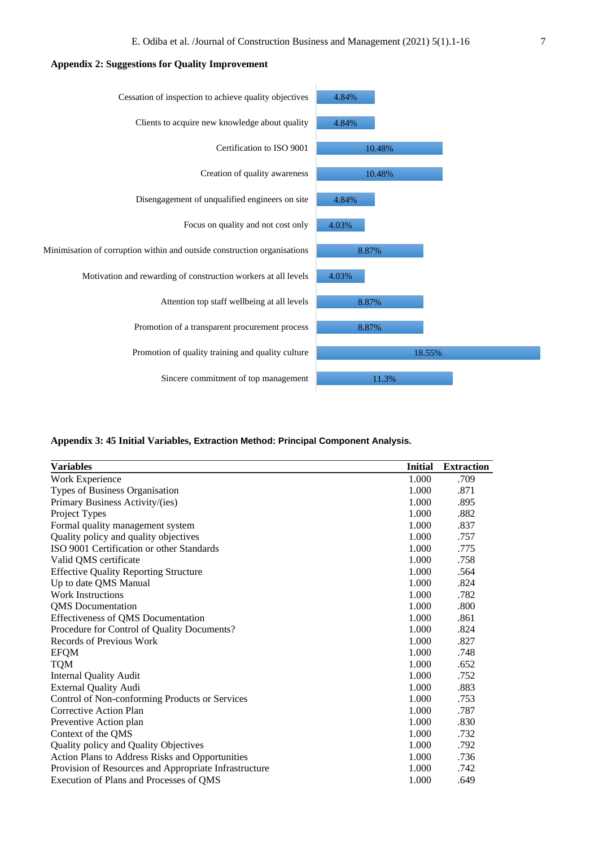# **Appendix 2: Suggestions for Quality Improvement**



# **Appendix 3: 45 Initial Variables, Extraction Method: Principal Component Analysis.**

| <b>Variables</b>                                      | <b>Initial</b> | <b>Extraction</b> |
|-------------------------------------------------------|----------------|-------------------|
|                                                       |                |                   |
| Work Experience                                       | 1.000          | .709              |
| Types of Business Organisation                        | 1.000          | .871              |
| Primary Business Activity/(ies)                       | 1.000          | .895              |
| Project Types                                         | 1.000          | .882              |
| Formal quality management system                      | 1.000          | .837              |
| Quality policy and quality objectives                 | 1.000          | .757              |
| ISO 9001 Certification or other Standards             | 1.000          | .775              |
| Valid QMS certificate                                 | 1.000          | .758              |
| <b>Effective Quality Reporting Structure</b>          | 1.000          | .564              |
| Up to date QMS Manual                                 | 1.000          | .824              |
| <b>Work Instructions</b>                              | 1.000          | .782              |
| <b>QMS</b> Documentation                              | 1.000          | .800              |
| Effectiveness of QMS Documentation                    | 1.000          | .861              |
| Procedure for Control of Quality Documents?           | 1.000          | .824              |
| <b>Records of Previous Work</b>                       | 1.000          | .827              |
| <b>EFQM</b>                                           | 1.000          | .748              |
| <b>TQM</b>                                            | 1.000          | .652              |
| <b>Internal Quality Audit</b>                         | 1.000          | .752              |
| <b>External Quality Audi</b>                          | 1.000          | .883              |
| Control of Non-conforming Products or Services        | 1.000          | .753              |
| Corrective Action Plan                                | 1.000          | .787              |
| Preventive Action plan                                | 1.000          | .830              |
| Context of the QMS                                    | 1.000          | .732              |
| Quality policy and Quality Objectives                 | 1.000          | .792              |
| Action Plans to Address Risks and Opportunities       | 1.000          | .736              |
| Provision of Resources and Appropriate Infrastructure | 1.000          | .742              |
| Execution of Plans and Processes of QMS               | 1.000          | .649              |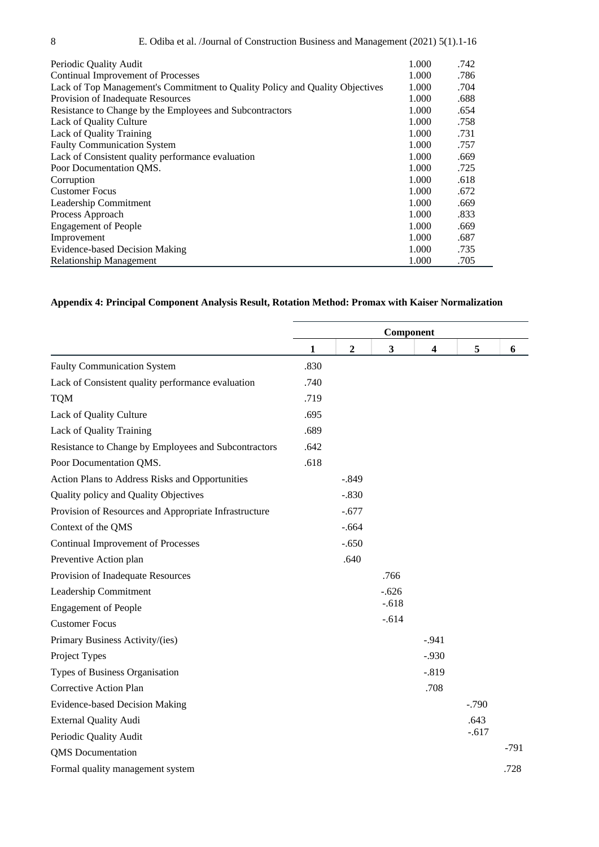| Periodic Quality Audit                                                       | 1.000 | .742 |
|------------------------------------------------------------------------------|-------|------|
| Continual Improvement of Processes                                           | 1.000 | .786 |
| Lack of Top Management's Commitment to Quality Policy and Quality Objectives | 1.000 | .704 |
| Provision of Inadequate Resources                                            | 1.000 | .688 |
| Resistance to Change by the Employees and Subcontractors                     | 1.000 | .654 |
| Lack of Quality Culture                                                      | 1.000 | .758 |
| Lack of Quality Training                                                     | 1.000 | .731 |
| <b>Faulty Communication System</b>                                           | 1.000 | .757 |
| Lack of Consistent quality performance evaluation                            | 1.000 | .669 |
| Poor Documentation OMS.                                                      | 1.000 | .725 |
| Corruption                                                                   | 1.000 | .618 |
| <b>Customer Focus</b>                                                        | 1.000 | .672 |
| Leadership Commitment                                                        | 1.000 | .669 |
| Process Approach                                                             | 1.000 | .833 |
| <b>Engagement of People</b>                                                  | 1.000 | .669 |
| Improvement                                                                  | 1.000 | .687 |
| Evidence-based Decision Making                                               | 1.000 | .735 |
| <b>Relationship Management</b>                                               | 1.000 | .705 |

# **Appendix 4: Principal Component Analysis Result, Rotation Method: Promax with Kaiser Normalization**

|                                                       | Component    |                |         |          |         |        |
|-------------------------------------------------------|--------------|----------------|---------|----------|---------|--------|
|                                                       | $\mathbf{1}$ | $\overline{2}$ | 3       | 4        | 5       | 6      |
| <b>Faulty Communication System</b>                    | .830         |                |         |          |         |        |
| Lack of Consistent quality performance evaluation     | .740         |                |         |          |         |        |
| <b>TQM</b>                                            | .719         |                |         |          |         |        |
| Lack of Quality Culture                               | .695         |                |         |          |         |        |
| Lack of Quality Training                              | .689         |                |         |          |         |        |
| Resistance to Change by Employees and Subcontractors  | .642         |                |         |          |         |        |
| Poor Documentation QMS.                               | .618         |                |         |          |         |        |
| Action Plans to Address Risks and Opportunities       |              | $-.849$        |         |          |         |        |
| Quality policy and Quality Objectives                 |              | $-.830$        |         |          |         |        |
| Provision of Resources and Appropriate Infrastructure |              | $-.677$        |         |          |         |        |
| Context of the QMS                                    |              | $-.664$        |         |          |         |        |
| <b>Continual Improvement of Processes</b>             |              | $-.650$        |         |          |         |        |
| Preventive Action plan                                |              | .640           |         |          |         |        |
| Provision of Inadequate Resources                     |              |                | .766    |          |         |        |
| Leadership Commitment                                 |              |                | $-.626$ |          |         |        |
| <b>Engagement of People</b>                           |              |                | $-.618$ |          |         |        |
| <b>Customer Focus</b>                                 |              |                | $-.614$ |          |         |        |
| Primary Business Activity/(ies)                       |              |                |         | $-.941$  |         |        |
| Project Types                                         |              |                |         | $-0.930$ |         |        |
| Types of Business Organisation                        |              |                |         | $-.819$  |         |        |
| Corrective Action Plan                                |              |                |         | .708     |         |        |
| <b>Evidence-based Decision Making</b>                 |              |                |         |          | $-.790$ |        |
| <b>External Quality Audi</b>                          |              |                |         |          | .643    |        |
| Periodic Quality Audit                                |              |                |         |          | $-.617$ |        |
| <b>QMS</b> Documentation                              |              |                |         |          |         | $-791$ |
| Formal quality management system                      |              |                |         |          |         | .728   |
|                                                       |              |                |         |          |         |        |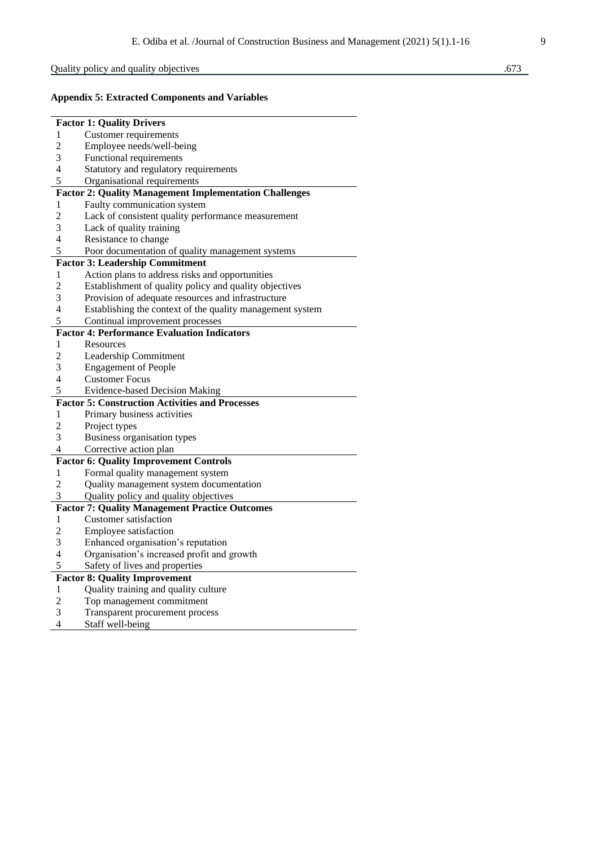# Quality policy and quality objectives .673

# **Appendix 5: Extracted Components and Variables**

|                | <b>Factor 1: Quality Drivers</b>                              |
|----------------|---------------------------------------------------------------|
| 1              | <b>Customer requirements</b>                                  |
| $\overline{c}$ | Employee needs/well-being                                     |
| 3              | Functional requirements                                       |
| 4              | Statutory and regulatory requirements                         |
| 5              | Organisational requirements                                   |
|                | <b>Factor 2: Quality Management Implementation Challenges</b> |
| 1              | Faulty communication system                                   |
| $\overline{c}$ | Lack of consistent quality performance measurement            |
| 3              | Lack of quality training                                      |
| $\overline{4}$ | Resistance to change                                          |
| 5              | Poor documentation of quality management systems              |
|                | <b>Factor 3: Leadership Commitment</b>                        |
| 1              | Action plans to address risks and opportunities               |
| $\overline{2}$ | Establishment of quality policy and quality objectives        |
| 3              | Provision of adequate resources and infrastructure            |
| 4              | Establishing the context of the quality management system     |
| 5              | Continual improvement processes                               |
|                | <b>Factor 4: Performance Evaluation Indicators</b>            |
| 1              | Resources                                                     |
| $\overline{2}$ | Leadership Commitment                                         |
| 3              | <b>Engagement of People</b>                                   |
| $\overline{4}$ | <b>Customer Focus</b>                                         |
| 5              | <b>Evidence-based Decision Making</b>                         |
|                | <b>Factor 5: Construction Activities and Processes</b>        |
| 1              | Primary business activities                                   |
| $\overline{c}$ | Project types                                                 |
| 3              | Business organisation types                                   |
| 4              | Corrective action plan                                        |
|                | <b>Factor 6: Quality Improvement Controls</b>                 |
| 1              | Formal quality management system                              |
| $\overline{2}$ | Quality management system documentation                       |
| 3              | Quality policy and quality objectives                         |
|                | <b>Factor 7: Quality Management Practice Outcomes</b>         |
| 1              | <b>Customer</b> satisfaction                                  |
| 2              | Employee satisfaction                                         |
| 3              | Enhanced organisation's reputation                            |
| 4              | Organisation's increased profit and growth                    |
| 5              | Safety of lives and properties                                |
|                | <b>Factor 8: Quality Improvement</b>                          |
| 1              | Quality training and quality culture                          |
| $\overline{c}$ | Top management commitment                                     |
| 3<br>4         | Transparent procurement process                               |
|                | Staff well-being                                              |